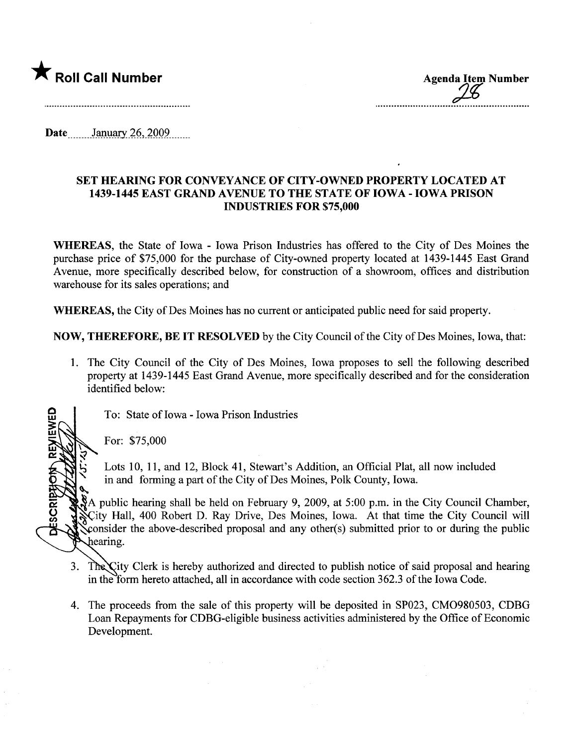

\* Roll Call Number<br>
Agenda Item Number<br>
26

Date January 26, 2009

## SET HEARING FOR CONVEYANCE OF CITY-OWNED PROPERTY LOCATED AT 1439-1445 EAST GRAND AVENUE TO THE STATE OF IOWA - IOWA PRISON INDUSTRIES FOR \$75,000

WHEREAS, the State of Iowa - Iowa Prison Industries has offered to the City of Des Moines the purchase price of \$75,000 for the purchase of City-owned property located at 1439-1445 East Grand Avenue, more specifically described below, for construction of a showroom, offices and distribution warehouse for its sales operations; and

WHEREAS, the City of Des Moines has no current or anticipated public need for said property.

NOW, THEREFORE, BE IT RESOLVED by the City Council of the City of Des Moines, Iowa, that:

- 1. The City Council of the City of Des Moines, Iowa proposes to sell the following described property at 1439-1445 East Grand Avenue, more specifically described and for the consideration identified below:
	- To: State of Iowa Iowa Prison Industries

For: \$75,000 \

<u>ই</u>

IEWED

**FRIBS** 

~<br>~

Lots 10, 11, and 12, Block 41, Stewart's Addition, an Official Plat, all now included in and forming a part of the City of Des Moines, Polk County, Iowa.

A public hearing shall be held on February 9, 2009, at 5:00 p.m. in the City Council Chamber, ~ ity Hall, 400 Robert D. Ray Drive, Des Moines, Iowa. At that time the City Council wil ~onsider the above-described proposal and any other(s) submitted prior to or durng the public hearing.

- 3. The City Clerk is hereby authorized and directed to publish notice of said proposal and hearing in the form hereto attached, all in accordance with code section 362.3 of the Iowa Code.
- 4. The proceeds from the sale of this property wil be deposited in SP023, CM0980503, CDBG Loan Repayments for CDBG-eligible business activities administered by the Office of Economic Development.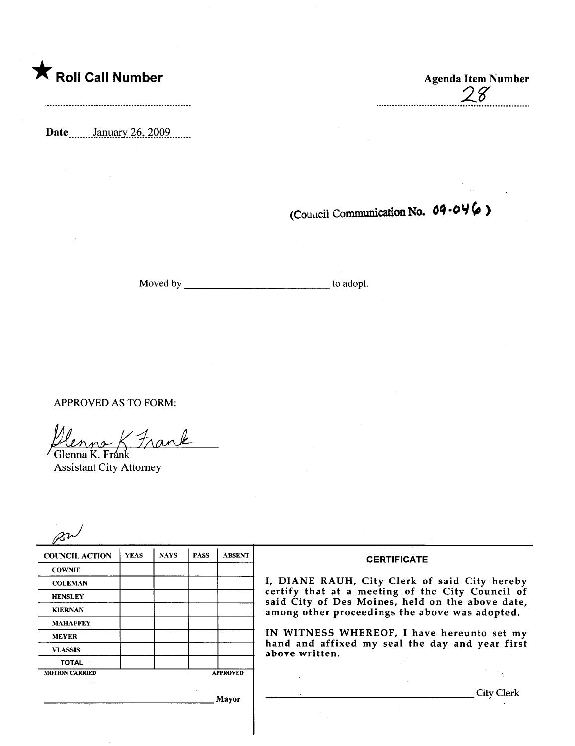**\*** Roll Call Number Agenda Item Number

 $\bar{\lambda}$ 

Date \_\_\_\_\_\_\_\_January 26, 2009

 $\emph{8}'$ 

(Council Communication No. 09-046)

Moved by to adopt.

APPROVED AS TO FORM:

Denne- K. Frank Glenna K. Frán

Assistant City Attorney

| <b>YEAS</b> | <b>NAYS</b> | <b>PASS</b>     | <b>ABSENT</b> |
|-------------|-------------|-----------------|---------------|
|             |             |                 |               |
|             |             |                 |               |
|             |             |                 |               |
|             |             |                 |               |
|             |             |                 |               |
|             |             |                 |               |
|             |             |                 |               |
|             |             |                 |               |
|             |             | <b>APPROVED</b> |               |
|             |             |                 |               |

 $\mathbb{R}^2$ 

## **CERTIFICATE**

, DIANE RAUH, City Clerk of said City hereby HENSLEY<br>
HENSLEY certify that at a meeting of the City Council of<br>
said City of Des Moines, held on the above date, mong other proceedings the above was adopted.

> N WITNESS WHEREOF, I have hereunto set my hand and affixed my seal the day and year first above written.

Mayor City Clerk

 $\mathcal{P}^{\mathcal{A}}_{\mathcal{A}}$  ,  $\mathcal{P}^{\mathcal{A}}_{\mathcal{A}}$  ,